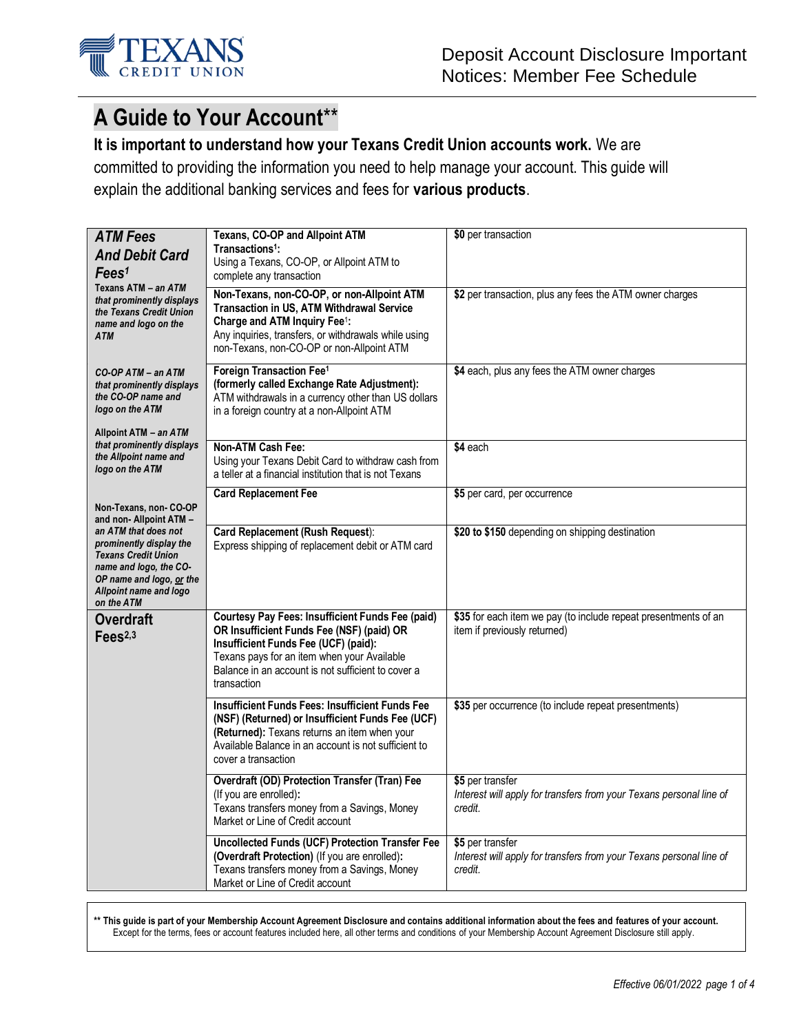

## **A Guide to Your Account**\*\*

**It is important to understand how your Texans Credit Union accounts work.** We are committed to providing the information you need to help manage your account. This guide will explain the additional banking services and fees for **various products**.

|                                                                                                                                                                             | Texans, CO-OP and Allpoint ATM                                                                                                                                                                                                                                   | \$0 per transaction                                                                                |
|-----------------------------------------------------------------------------------------------------------------------------------------------------------------------------|------------------------------------------------------------------------------------------------------------------------------------------------------------------------------------------------------------------------------------------------------------------|----------------------------------------------------------------------------------------------------|
| <b>ATM Fees</b>                                                                                                                                                             | Transactions <sup>1</sup> :                                                                                                                                                                                                                                      |                                                                                                    |
| <b>And Debit Card</b>                                                                                                                                                       | Using a Texans, CO-OP, or Allpoint ATM to                                                                                                                                                                                                                        |                                                                                                    |
| Fees <sup>1</sup>                                                                                                                                                           | complete any transaction                                                                                                                                                                                                                                         |                                                                                                    |
| Texans ATM - an ATM<br>that prominently displays<br>the Texans Credit Union<br>name and logo on the<br><b>ATM</b>                                                           | Non-Texans, non-CO-OP, or non-Allpoint ATM<br>Transaction in US, ATM Withdrawal Service<br>Charge and ATM Inquiry Fee <sup>1</sup> :<br>Any inquiries, transfers, or withdrawals while using<br>non-Texans, non-CO-OP or non-Allpoint ATM                        | \$2 per transaction, plus any fees the ATM owner charges                                           |
| CO-OP ATM - an ATM<br>that prominently displays<br>the CO-OP name and<br>logo on the ATM                                                                                    | Foreign Transaction Fee <sup>1</sup><br>(formerly called Exchange Rate Adjustment):<br>ATM withdrawals in a currency other than US dollars<br>in a foreign country at a non-Allpoint ATM                                                                         | \$4 each, plus any fees the ATM owner charges                                                      |
| Allpoint ATM - an ATM                                                                                                                                                       |                                                                                                                                                                                                                                                                  |                                                                                                    |
| that prominently displays<br>the Allpoint name and<br>logo on the ATM                                                                                                       | Non-ATM Cash Fee:<br>Using your Texans Debit Card to withdraw cash from<br>a teller at a financial institution that is not Texans                                                                                                                                | \$4 each                                                                                           |
| Non-Texans, non-CO-OP<br>and non- Allpoint ATM -                                                                                                                            | <b>Card Replacement Fee</b>                                                                                                                                                                                                                                      | \$5 per card, per occurrence                                                                       |
| an ATM that does not<br>prominently display the<br><b>Texans Credit Union</b><br>name and logo, the CO-<br>OP name and logo, or the<br>Allpoint name and logo<br>on the ATM | Card Replacement (Rush Request):<br>Express shipping of replacement debit or ATM card                                                                                                                                                                            | \$20 to \$150 depending on shipping destination                                                    |
| <b>Overdraft</b><br>Fees <sup>2,3</sup>                                                                                                                                     | <b>Courtesy Pay Fees: Insufficient Funds Fee (paid)</b><br>OR Insufficient Funds Fee (NSF) (paid) OR<br>Insufficient Funds Fee (UCF) (paid):<br>Texans pays for an item when your Available<br>Balance in an account is not sufficient to cover a<br>transaction | \$35 for each item we pay (to include repeat presentments of an<br>item if previously returned)    |
|                                                                                                                                                                             | <b>Insufficient Funds Fees: Insufficient Funds Fee</b><br>(NSF) (Returned) or Insufficient Funds Fee (UCF)<br>(Returned): Texans returns an item when your<br>Available Balance in an account is not sufficient to<br>cover a transaction                        | \$35 per occurrence (to include repeat presentments)                                               |
|                                                                                                                                                                             | <b>Overdraft (OD) Protection Transfer (Tran) Fee</b><br>(If you are enrolled):<br>Texans transfers money from a Savings, Money<br>Market or Line of Credit account                                                                                               | \$5 per transfer<br>Interest will apply for transfers from your Texans personal line of<br>credit. |
|                                                                                                                                                                             | <b>Uncollected Funds (UCF) Protection Transfer Fee</b><br>(Overdraft Protection) (If you are enrolled):<br>Texans transfers money from a Savings, Money<br>Market or Line of Credit account                                                                      | \$5 per transfer<br>Interest will apply for transfers from your Texans personal line of<br>credit. |

**\*\* This guide is part of your Membership Account Agreement Disclosure and contains additional information about the fees and features of your account.** Except for the terms, fees or account features included here, all other terms and conditions of your Membership Account Agreement Disclosure still apply.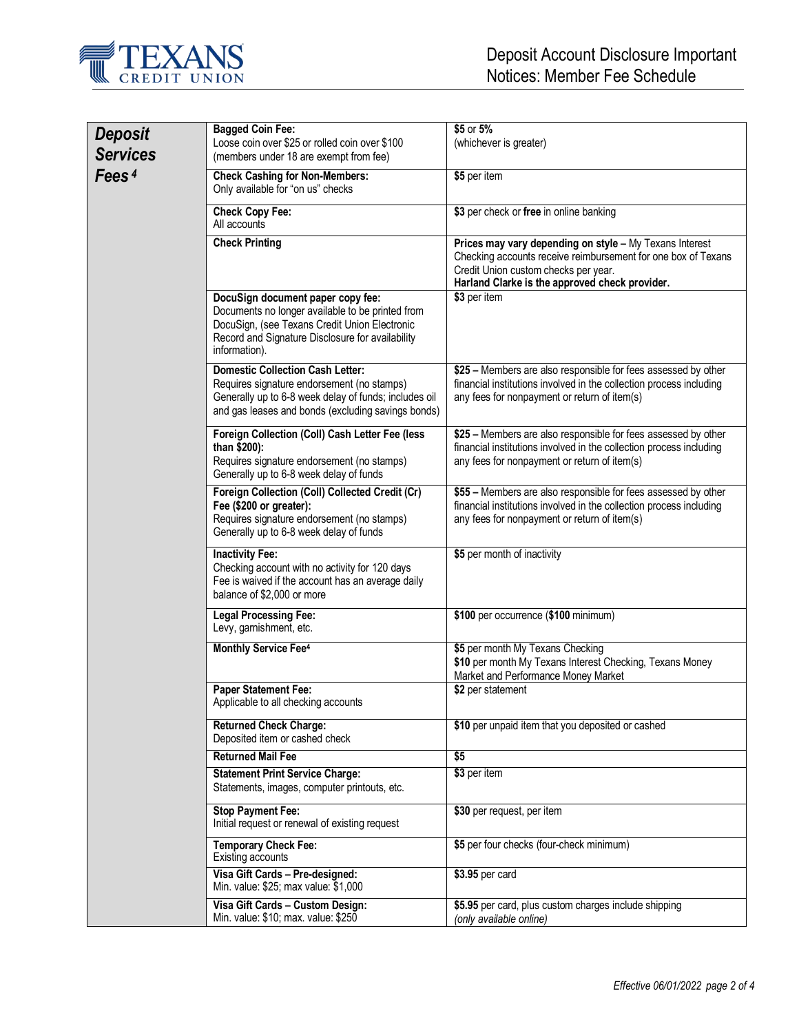

| <b>Deposit</b><br><b>Services</b> | <b>Bagged Coin Fee:</b><br>Loose coin over \$25 or rolled coin over \$100<br>(members under 18 are exempt from fee)                                                                                         | \$5 or 5%<br>(whichever is greater)                                                                                                                                                                                |
|-----------------------------------|-------------------------------------------------------------------------------------------------------------------------------------------------------------------------------------------------------------|--------------------------------------------------------------------------------------------------------------------------------------------------------------------------------------------------------------------|
| Fees <sup>4</sup>                 | <b>Check Cashing for Non-Members:</b><br>Only available for "on us" checks                                                                                                                                  | \$5 per item                                                                                                                                                                                                       |
|                                   | <b>Check Copy Fee:</b><br>All accounts                                                                                                                                                                      | \$3 per check or free in online banking                                                                                                                                                                            |
|                                   | <b>Check Printing</b>                                                                                                                                                                                       | Prices may vary depending on style - My Texans Interest<br>Checking accounts receive reimbursement for one box of Texans<br>Credit Union custom checks per year.<br>Harland Clarke is the approved check provider. |
|                                   | DocuSign document paper copy fee:<br>Documents no longer available to be printed from<br>DocuSign, (see Texans Credit Union Electronic<br>Record and Signature Disclosure for availability<br>information). | \$3 per item                                                                                                                                                                                                       |
|                                   | <b>Domestic Collection Cash Letter:</b><br>Requires signature endorsement (no stamps)<br>Generally up to 6-8 week delay of funds; includes oil<br>and gas leases and bonds (excluding savings bonds)        | \$25 - Members are also responsible for fees assessed by other<br>financial institutions involved in the collection process including<br>any fees for nonpayment or return of item(s)                              |
|                                   | Foreign Collection (Coll) Cash Letter Fee (less<br>than \$200):<br>Requires signature endorsement (no stamps)<br>Generally up to 6-8 week delay of funds                                                    | \$25 - Members are also responsible for fees assessed by other<br>financial institutions involved in the collection process including<br>any fees for nonpayment or return of item(s)                              |
|                                   | Foreign Collection (Coll) Collected Credit (Cr)<br>Fee (\$200 or greater):<br>Requires signature endorsement (no stamps)<br>Generally up to 6-8 week delay of funds                                         | \$55 - Members are also responsible for fees assessed by other<br>financial institutions involved in the collection process including<br>any fees for nonpayment or return of item(s)                              |
|                                   | <b>Inactivity Fee:</b><br>Checking account with no activity for 120 days<br>Fee is waived if the account has an average daily<br>balance of \$2,000 or more                                                 | \$5 per month of inactivity                                                                                                                                                                                        |
|                                   | <b>Legal Processing Fee:</b><br>Levy, garnishment, etc.                                                                                                                                                     | \$100 per occurrence (\$100 minimum)                                                                                                                                                                               |
|                                   | <b>Monthly Service Fee<sup>4</sup></b>                                                                                                                                                                      | \$5 per month My Texans Checking<br>\$10 per month My Texans Interest Checking, Texans Money<br>Market and Performance Money Market                                                                                |
|                                   | <b>Paper Statement Fee:</b><br>Applicable to all checking accounts                                                                                                                                          | \$2 per statement                                                                                                                                                                                                  |
|                                   | <b>Returned Check Charge:</b><br>Deposited item or cashed check                                                                                                                                             | \$10 per unpaid item that you deposited or cashed                                                                                                                                                                  |
|                                   | <b>Returned Mail Fee</b>                                                                                                                                                                                    | \$5                                                                                                                                                                                                                |
|                                   | <b>Statement Print Service Charge:</b><br>Statements, images, computer printouts, etc.                                                                                                                      | \$3 per item                                                                                                                                                                                                       |
|                                   | <b>Stop Payment Fee:</b><br>Initial request or renewal of existing request                                                                                                                                  | \$30 per request, per item                                                                                                                                                                                         |
|                                   | <b>Temporary Check Fee:</b><br>Existing accounts                                                                                                                                                            | \$5 per four checks (four-check minimum)                                                                                                                                                                           |
|                                   | Visa Gift Cards - Pre-designed:<br>Min. value: \$25; max value: \$1,000                                                                                                                                     | \$3.95 per card                                                                                                                                                                                                    |
|                                   | Visa Gift Cards - Custom Design:<br>Min. value: \$10; max. value: \$250                                                                                                                                     | \$5.95 per card, plus custom charges include shipping<br>(only available online)                                                                                                                                   |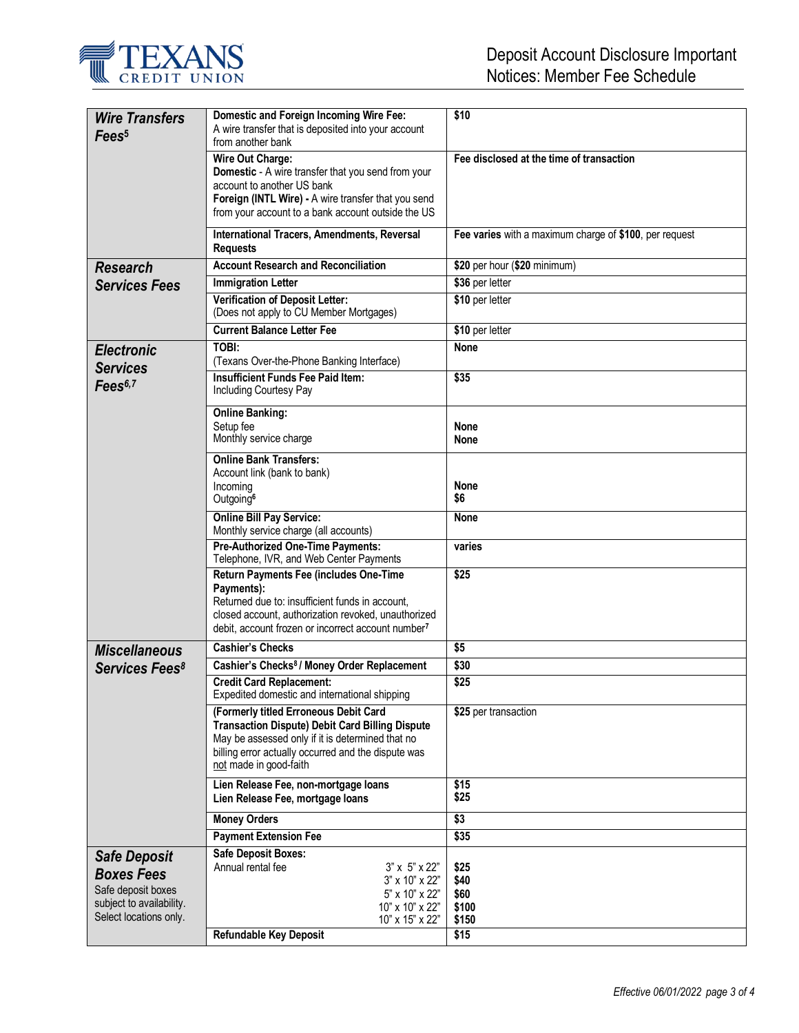

| <b>Wire Transfers</b><br>Fees <sup>5</sup> | Domestic and Foreign Incoming Wire Fee:<br>A wire transfer that is deposited into your account<br>from another bank                                                                                                                  | \$10<br>Fee disclosed at the time of transaction       |
|--------------------------------------------|--------------------------------------------------------------------------------------------------------------------------------------------------------------------------------------------------------------------------------------|--------------------------------------------------------|
|                                            | Wire Out Charge:<br>Domestic - A wire transfer that you send from your<br>account to another US bank<br>Foreign (INTL Wire) - A wire transfer that you send<br>from your account to a bank account outside the US                    |                                                        |
|                                            | International Tracers, Amendments, Reversal<br><b>Requests</b>                                                                                                                                                                       | Fee varies with a maximum charge of \$100, per request |
| <b>Research</b>                            | <b>Account Research and Reconciliation</b>                                                                                                                                                                                           | \$20 per hour (\$20 minimum)                           |
| <b>Services Fees</b>                       | <b>Immigration Letter</b>                                                                                                                                                                                                            | \$36 per letter                                        |
|                                            | Verification of Deposit Letter:<br>(Does not apply to CU Member Mortgages)                                                                                                                                                           | \$10 per letter                                        |
|                                            | <b>Current Balance Letter Fee</b>                                                                                                                                                                                                    | \$10 per letter                                        |
| <b>Electronic</b><br><b>Services</b>       | TOBI:<br>(Texans Over-the-Phone Banking Interface)                                                                                                                                                                                   | <b>None</b>                                            |
| Fees <sup>6,7</sup>                        | Insufficient Funds Fee Paid Item:<br>Including Courtesy Pay                                                                                                                                                                          | \$35                                                   |
|                                            | <b>Online Banking:</b>                                                                                                                                                                                                               |                                                        |
|                                            | Setup fee                                                                                                                                                                                                                            | <b>None</b>                                            |
|                                            | Monthly service charge                                                                                                                                                                                                               | None                                                   |
|                                            | <b>Online Bank Transfers:</b>                                                                                                                                                                                                        |                                                        |
|                                            | Account link (bank to bank)<br>Incoming                                                                                                                                                                                              | None                                                   |
|                                            | Outgoing <sup>6</sup>                                                                                                                                                                                                                | \$6                                                    |
|                                            | <b>Online Bill Pay Service:</b><br>Monthly service charge (all accounts)                                                                                                                                                             | <b>None</b>                                            |
|                                            | <b>Pre-Authorized One-Time Payments:</b><br>Telephone, IVR, and Web Center Payments                                                                                                                                                  | varies                                                 |
|                                            | Return Payments Fee (includes One-Time<br>Payments):<br>Returned due to: insufficient funds in account,<br>closed account, authorization revoked, unauthorized<br>debit, account frozen or incorrect account number <sup>7</sup>     | \$25                                                   |
| <b>Miscellaneous</b>                       | <b>Cashier's Checks</b>                                                                                                                                                                                                              | \$5                                                    |
| Services Fees <sup>8</sup>                 | Cashier's Checks <sup>8</sup> / Money Order Replacement                                                                                                                                                                              | \$30                                                   |
|                                            | <b>Credit Card Replacement:</b><br>Expedited domestic and international shipping                                                                                                                                                     | \$25                                                   |
|                                            | (Formerly titled Erroneous Debit Card<br><b>Transaction Dispute) Debit Card Billing Dispute</b><br>May be assessed only if it is determined that no<br>billing error actually occurred and the dispute was<br>not made in good-faith | \$25 per transaction                                   |
|                                            | Lien Release Fee, non-mortgage loans<br>Lien Release Fee, mortgage loans                                                                                                                                                             | \$15<br>\$25                                           |
|                                            | <b>Money Orders</b>                                                                                                                                                                                                                  | \$3                                                    |
|                                            | <b>Payment Extension Fee</b>                                                                                                                                                                                                         | \$35                                                   |
| <b>Safe Deposit</b>                        | <b>Safe Deposit Boxes:</b>                                                                                                                                                                                                           |                                                        |
| <b>Boxes Fees</b>                          | Annual rental fee<br>$3" \times 5" \times 22"$<br>$3" \times 10" \times 22"$                                                                                                                                                         | \$25<br>\$40                                           |
| Safe deposit boxes                         | 5" x 10" x 22"                                                                                                                                                                                                                       | \$60                                                   |
| subject to availability.                   | 10" x 10" x 22"                                                                                                                                                                                                                      | \$100                                                  |
| Select locations only.                     | 10" x 15" x 22"                                                                                                                                                                                                                      | \$150                                                  |
|                                            | <b>Refundable Key Deposit</b>                                                                                                                                                                                                        | \$15                                                   |